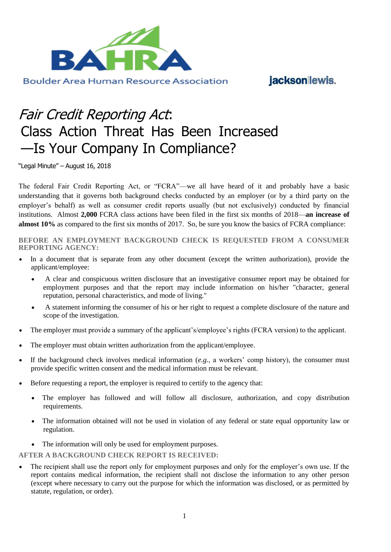

jacksonlewis.

## Fair Credit Reporting Act: Class Action Threat Has Been Increased —Is Your Company In Compliance?

"Legal Minute" – August 16, 2018

The federal Fair Credit Reporting Act, or "FCRA"—we all have heard of it and probably have a basic understanding that it governs both background checks conducted by an employer (or by a third party on the employer's behalf) as well as consumer credit reports usually (but not exclusively) conducted by financial institutions. Almost **2,000** FCRA class actions have been filed in the first six months of 2018—**an increase of almost 10%** as compared to the first six months of 2017. So, be sure you know the basics of FCRA compliance:

**BEFORE AN EMPLOYMENT BACKGROUND CHECK IS REQUESTED FROM A CONSUMER REPORTING AGENCY:**

- In a document that is separate from any other document (except the written authorization), provide the applicant/employee:
	- A clear and conspicuous written disclosure that an investigative consumer report may be obtained for employment purposes and that the report may include information on his/her "character, general reputation, personal characteristics, and mode of living."
	- A statement informing the consumer of his or her right to request a complete disclosure of the nature and scope of the investigation.
- The employer must provide a summary of the applicant's/employee's rights (FCRA version) to the applicant.
- The employer must obtain written authorization from the applicant/employee.
- If the background check involves medical information (*e.g.*, a workers' comp history), the consumer must provide specific written consent and the medical information must be relevant.
- Before requesting a report, the employer is required to certify to the agency that:
	- The employer has followed and will follow all disclosure, authorization, and copy distribution requirements.
	- The information obtained will not be used in violation of any federal or state equal opportunity law or regulation.
	- The information will only be used for employment purposes.

**AFTER A BACKGROUND CHECK REPORT IS RECEIVED:**

 The recipient shall use the report only for employment purposes and only for the employer's own use. If the report contains medical information, the recipient shall not disclose the information to any other person (except where necessary to carry out the purpose for which the information was disclosed, or as permitted by statute, regulation, or order).